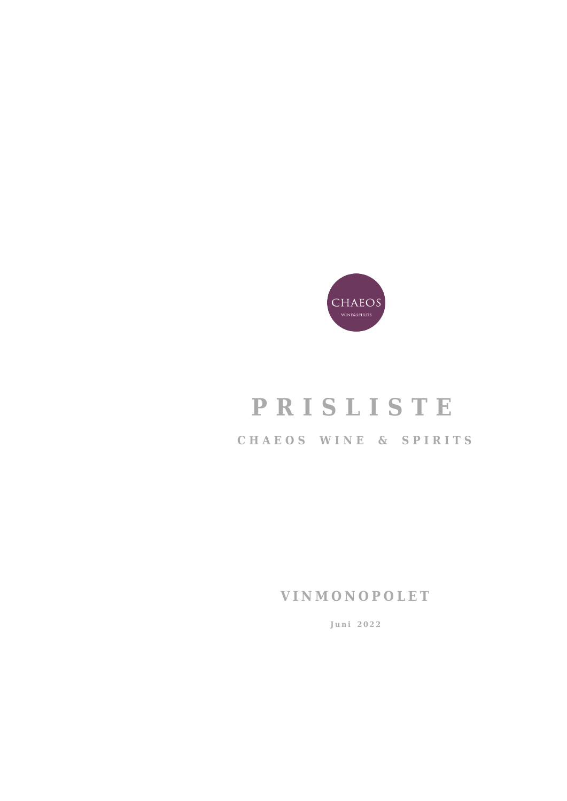

# **PRISLISTE CHAEOS WINE & SPIRITS**

**VINMONOPOLET**

**Juni 2022**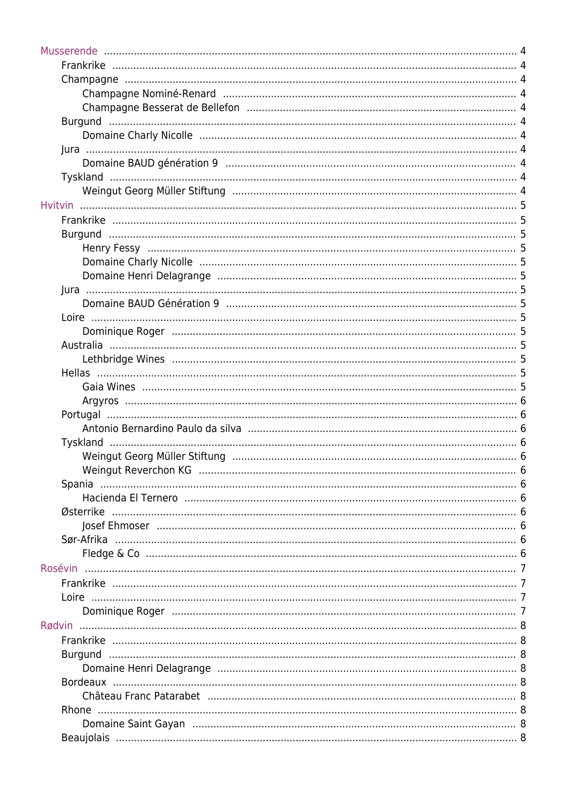| Østerrike |  |
|-----------|--|
|           |  |
|           |  |
|           |  |
| Rosévin   |  |
|           |  |
|           |  |
|           |  |
| Rødvin    |  |
|           |  |
|           |  |
|           |  |
|           |  |
|           |  |
|           |  |
|           |  |
|           |  |
|           |  |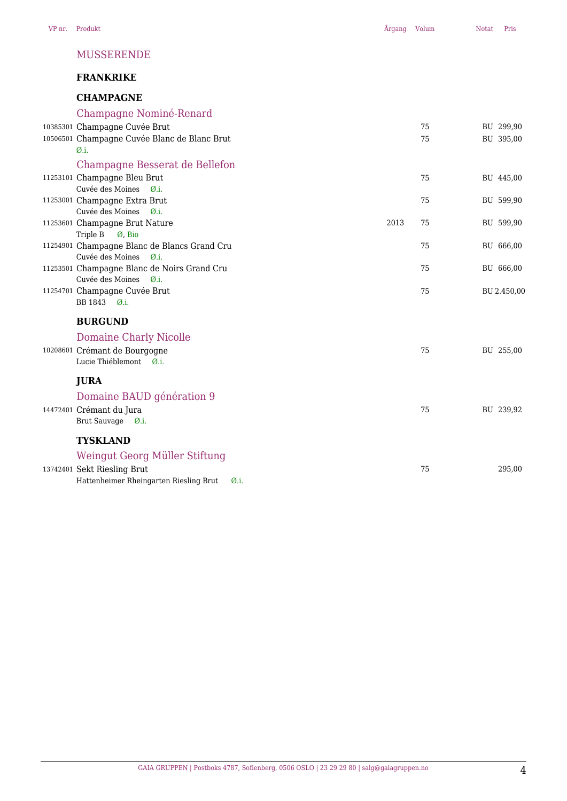#### MUSSERENDE

# **FRANKRIKE**

# **CHAMPAGNE**

| Champagne Nominé-Renard                                                              |      |    |             |
|--------------------------------------------------------------------------------------|------|----|-------------|
| 10385301 Champagne Cuvée Brut                                                        |      | 75 | BU 299,90   |
| 10506501 Champagne Cuvée Blanc de Blanc Brut                                         |      | 75 | BU 395,00   |
| Ø.i.                                                                                 |      |    |             |
| Champagne Besserat de Bellefon                                                       |      |    |             |
| 11253101 Champagne Bleu Brut                                                         |      | 75 | BU 445,00   |
| Cuvée des Moines<br>$\emptyset$ .i.                                                  |      |    |             |
| 11253001 Champagne Extra Brut                                                        |      | 75 | BU 599,90   |
| Cuvée des Moines<br>$\emptyset$ .i.                                                  |      |    |             |
| 11253601 Champagne Brut Nature                                                       | 2013 | 75 | BU 599,90   |
| Triple B<br>Ø, Bio                                                                   |      |    |             |
| 11254901 Champagne Blanc de Blancs Grand Cru                                         |      | 75 | BU 666,00   |
| Cuvée des Moines<br>$\varnothing$ .i.<br>11253501 Champagne Blanc de Noirs Grand Cru |      | 75 |             |
| Cuvée des Moines<br>$\emptyset$ .i.                                                  |      |    | BU 666,00   |
| 11254701 Champagne Cuvée Brut                                                        |      | 75 | BU 2.450,00 |
| BB 1843 Ø.i.                                                                         |      |    |             |
|                                                                                      |      |    |             |
| <b>BURGUND</b>                                                                       |      |    |             |
| <b>Domaine Charly Nicolle</b>                                                        |      |    |             |
| 10208601 Crémant de Bourgogne                                                        |      | 75 | BU 255,00   |
| Lucie Thiéblemont Ø.i.                                                               |      |    |             |
| <b>JURA</b>                                                                          |      |    |             |
| Domaine BAUD génération 9                                                            |      |    |             |
| 14472401 Crémant du Jura                                                             |      | 75 | BU 239,92   |
| Brut Sauvage<br>$\emptyset$ .i.                                                      |      |    |             |
|                                                                                      |      |    |             |
| <b>TYSKLAND</b>                                                                      |      |    |             |
| Weingut Georg Müller Stiftung                                                        |      |    |             |
| 13742401 Sekt Riesling Brut                                                          |      | 75 | 295,00      |
| Hattenheimer Rheingarten Riesling Brut<br>Ø.i.                                       |      |    |             |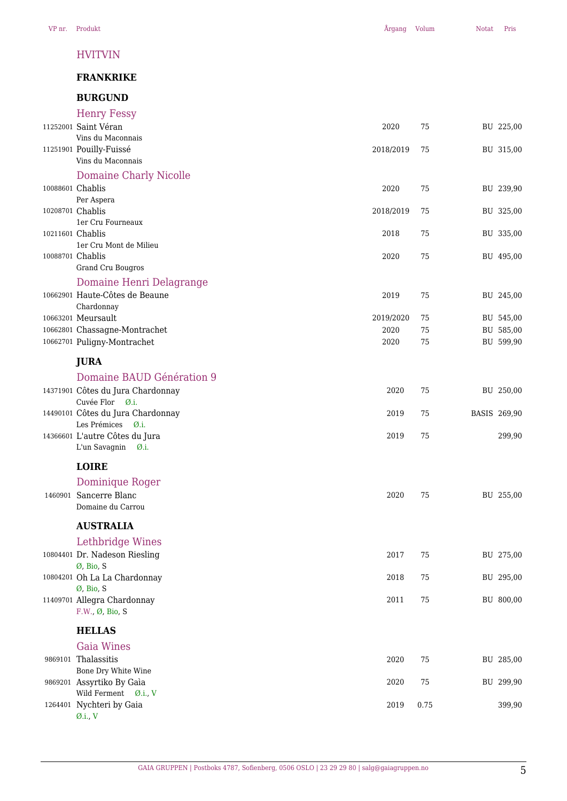#### HVITVIN

# **FRANKRIKE**

# **BURGUND**

|                  | Henry Fessy                                             |           |      |                     |
|------------------|---------------------------------------------------------|-----------|------|---------------------|
|                  | 11252001 Saint Véran                                    | 2020      | 75   | BU 225,00           |
|                  | Vins du Maconnais                                       |           |      |                     |
|                  | 11251901 Pouilly-Fuissé                                 | 2018/2019 | 75   | BU 315,00           |
|                  | Vins du Maconnais                                       |           |      |                     |
|                  | <b>Domaine Charly Nicolle</b>                           |           |      |                     |
|                  | 10088601 Chablis                                        | 2020      | 75   | BU 239,90           |
|                  | Per Aspera                                              |           |      |                     |
| 10208701 Chablis |                                                         | 2018/2019 | 75   | BU 325,00           |
|                  | 1er Cru Fourneaux                                       |           |      |                     |
| 10211601 Chablis |                                                         | 2018      | 75   | BU 335,00           |
|                  | 1er Cru Mont de Milieu                                  |           |      |                     |
| 10088701 Chablis |                                                         | 2020      | 75   | BU 495,00           |
|                  | Grand Cru Bougros                                       |           |      |                     |
|                  | Domaine Henri Delagrange                                |           |      |                     |
|                  | 10662901 Haute-Côtes de Beaune                          | 2019      | 75   | BU 245,00           |
|                  | Chardonnay                                              |           |      |                     |
|                  | 10663201 Meursault                                      | 2019/2020 | 75   | BU 545,00           |
|                  | 10662801 Chassagne-Montrachet                           | 2020      | 75   | BU 585,00           |
|                  | 10662701 Puligny-Montrachet                             | 2020      | 75   | BU 599,90           |
|                  | <b>JURA</b>                                             |           |      |                     |
|                  |                                                         |           |      |                     |
|                  | Domaine BAUD Génération 9                               |           |      |                     |
|                  | 14371901 Côtes du Jura Chardonnay                       | 2020      | 75   | BU 250,00           |
|                  | Cuvée Flor Ø.i.                                         |           |      |                     |
|                  | 14490101 Côtes du Jura Chardonnay                       | 2019      | 75   | <b>BASIS 269,90</b> |
|                  | Les Prémices<br>$\emptyset$ .i.                         |           |      |                     |
|                  | 14366601 L'autre Côtes du Jura<br>L'un Savagnin<br>Ø.i. | 2019      | 75   | 299,90              |
|                  |                                                         |           |      |                     |
|                  | <b>LOIRE</b>                                            |           |      |                     |
|                  | Dominique Roger                                         |           |      |                     |
|                  | 1460901 Sancerre Blanc                                  | 2020      | 75   | BU 255,00           |
|                  | Domaine du Carrou                                       |           |      |                     |
|                  |                                                         |           |      |                     |
|                  | <b>AUSTRALIA</b>                                        |           |      |                     |
|                  | Lethbridge Wines                                        |           |      |                     |
|                  | 10804401 Dr. Nadeson Riesling                           | 2017      | 75   | BU 275,00           |
|                  | Ø, Bio, S                                               |           |      |                     |
|                  | 10804201 Oh La La Chardonnay                            | 2018      | 75   | BU 295,00           |
|                  | Ø, Bio, S                                               |           |      |                     |
|                  | 11409701 Allegra Chardonnay                             | 2011      | 75   | BU 800,00           |
|                  | F.W., Ø, Bio, S                                         |           |      |                     |
|                  | <b>HELLAS</b>                                           |           |      |                     |
|                  |                                                         |           |      |                     |
|                  | <b>Gaia Wines</b>                                       |           |      |                     |
|                  | 9869101 Thalassitis                                     | 2020      | 75   | BU 285,00           |
|                  | Bone Dry White Wine                                     |           |      |                     |
|                  | 9869201 Assyrtiko By Gaìa                               | 2020      | 75   | BU 299,90           |
|                  | Wild Ferment Ø.i., V                                    |           | 0.75 |                     |
|                  | 1264401 Nychteri by Gaia<br>$\varnothing$ .i., V        | 2019      |      | 399,90              |
|                  |                                                         |           |      |                     |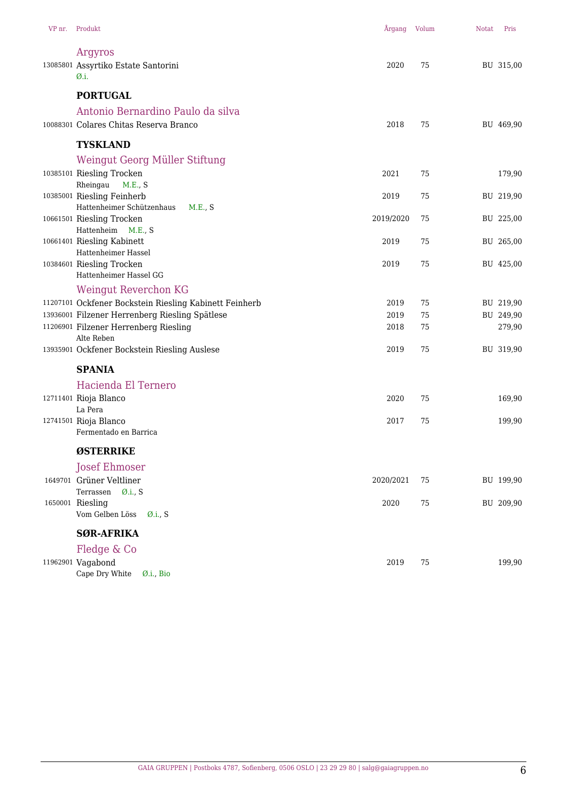| VP nr. Produkt                                                                          | Årgang Volum |          | <b>Notat</b> | Pris                |
|-----------------------------------------------------------------------------------------|--------------|----------|--------------|---------------------|
| Argyros                                                                                 |              |          |              |                     |
| 13085801 Assyrtiko Estate Santorini                                                     | 2020         | 75       |              | BU 315,00           |
| Ø.i.                                                                                    |              |          |              |                     |
| <b>PORTUGAL</b>                                                                         |              |          |              |                     |
| Antonio Bernardino Paulo da silva                                                       |              |          |              |                     |
| 10088301 Colares Chitas Reserva Branco                                                  | 2018         | 75       |              | BU 469,90           |
| <b>TYSKLAND</b>                                                                         |              |          |              |                     |
| Weingut Georg Müller Stiftung                                                           |              |          |              |                     |
| 10385101 Riesling Trocken                                                               | 2021         | 75       |              | 179,90              |
| Rheingau<br>M.E., S                                                                     |              |          |              |                     |
| 10385001 Riesling Feinherb<br>Hattenheimer Schützenhaus<br>M.E., S                      | 2019         | 75       |              | BU 219,90           |
| 10661501 Riesling Trocken                                                               | 2019/2020    | 75       |              | BU 225,00           |
| Hattenheim M.E., S                                                                      |              |          |              |                     |
| 10661401 Riesling Kabinett<br>Hattenheimer Hassel                                       | 2019         | 75       |              | BU 265,00           |
| 10384601 Riesling Trocken                                                               | 2019         | 75       |              | BU 425,00           |
| Hattenheimer Hassel GG                                                                  |              |          |              |                     |
| Weingut Reverchon KG                                                                    |              |          |              |                     |
| 11207101 Ockfener Bockstein Riesling Kabinett Feinherb                                  | 2019         | 75       |              | BU 219,90           |
| 13936001 Filzener Herrenberg Riesling Spätlese<br>11206901 Filzener Herrenberg Riesling | 2019<br>2018 | 75<br>75 |              | BU 249,90<br>279,90 |
| Alte Reben                                                                              |              |          |              |                     |
| 13935901 Ockfener Bockstein Riesling Auslese                                            | 2019         | 75       |              | BU 319,90           |
| <b>SPANIA</b>                                                                           |              |          |              |                     |
| Hacienda El Ternero                                                                     |              |          |              |                     |
| 12711401 Rioja Blanco                                                                   | 2020         | 75       |              | 169,90              |
| La Pera<br>12741501 Rioja Blanco                                                        | 2017         | 75       |              | 199,90              |
| Fermentado en Barrica                                                                   |              |          |              |                     |
| <b>ØSTERRIKE</b>                                                                        |              |          |              |                     |
| <b>Josef Ehmoser</b>                                                                    |              |          |              |                     |
| 1649701 Grüner Veltliner                                                                | 2020/2021    | 75       |              | BU 199,90           |
| Terrassen<br>$\emptyset$ .i., S                                                         |              |          |              |                     |
| 1650001 Riesling<br>Vom Gelben Löss<br>$\emptyset$ .i., S                               | 2020         | 75       |              | BU 209,90           |
| <b>SØR-AFRIKA</b>                                                                       |              |          |              |                     |
| Fledge & Co                                                                             |              |          |              |                     |
| 11962901 Vagabond                                                                       | 2019         | 75       |              | 199,90              |
| Cape Dry White<br>Ø.i., Bio                                                             |              |          |              |                     |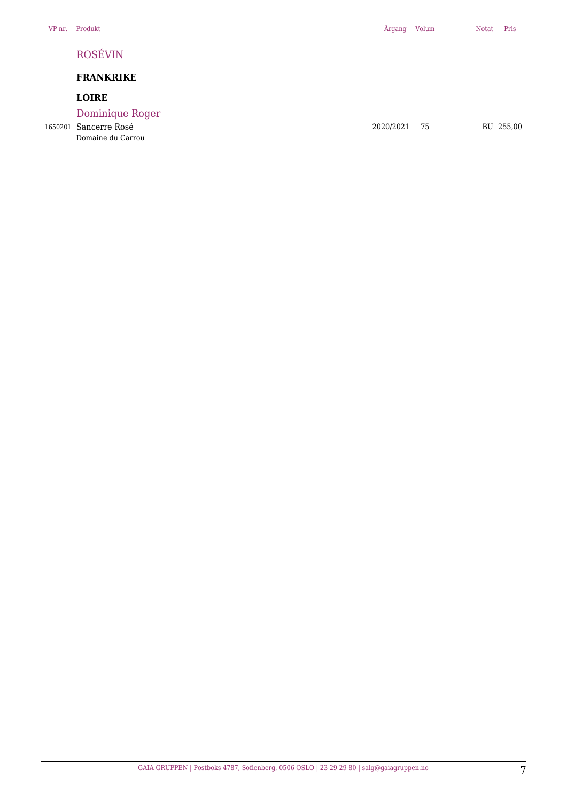# ROSÉVIN

# **FRANKRIKE**

# **LOIRE**

Dominique Roger

Domaine du Carrou

1650201 Sancerre Rosé 2020/2021 75 BU 255,00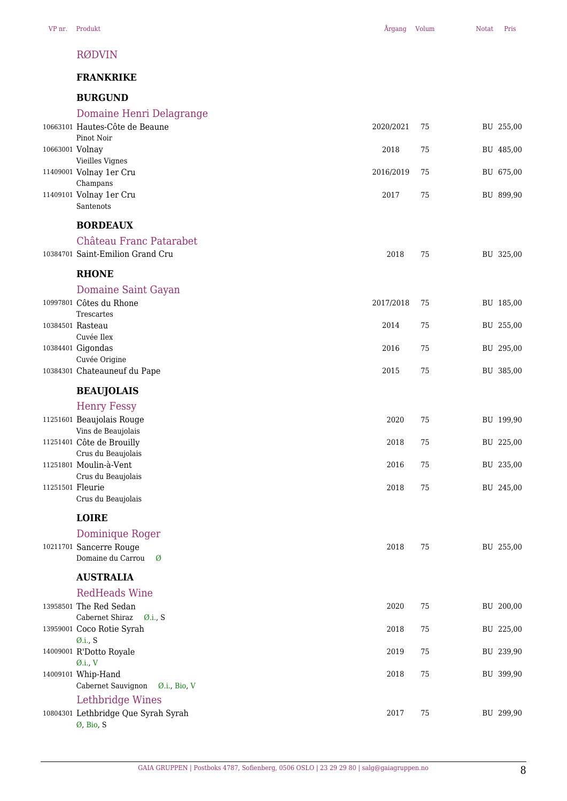#### RØDVIN

#### **FRANKRIKE**

# **BURGUND**

| DUNUUIVD                         |           |    |           |
|----------------------------------|-----------|----|-----------|
| Domaine Henri Delagrange         |           |    |           |
| 10663101 Hautes-Côte de Beaune   | 2020/2021 | 75 | BU 255,00 |
| Pinot Noir                       |           |    |           |
| 10663001 Volnay                  | 2018      | 75 | BU 485,00 |
| Vieilles Vignes                  |           |    |           |
| 11409001 Volnay 1er Cru          | 2016/2019 | 75 | BU 675,00 |
| Champans                         |           |    |           |
| 11409101 Volnay 1er Cru          | 2017      | 75 | BU 899,90 |
| Santenots                        |           |    |           |
| <b>BORDEAUX</b>                  |           |    |           |
| Château Franc Patarabet          |           |    |           |
| 10384701 Saint-Emilion Grand Cru | 2018      | 75 | BU 325,00 |
|                                  |           |    |           |
| <b>RHONE</b>                     |           |    |           |
| Domaine Saint Gayan              |           |    |           |
| 10997801 Côtes du Rhone          | 2017/2018 | 75 | BU 185,00 |
| Trescartes                       |           |    |           |
| 10384501 Rasteau                 | 2014      | 75 | BU 255,00 |
| Cuvée Ilex                       |           |    |           |
| 10384401 Gigondas                | 2016      | 75 | BU 295,00 |
| Cuvée Origine                    |           |    |           |
| 10384301 Chateauneuf du Pape     | 2015      | 75 | BU 385,00 |
| <b>BEAUJOLAIS</b>                |           |    |           |
| <b>Henry Fessy</b>               |           |    |           |
| 11251601 Beaujolais Rouge        | 2020      | 75 | BU 199,90 |
| Vins de Beaujolais               |           |    |           |
| 11251401 Côte de Brouilly        | 2018      | 75 | BU 225,00 |
| Crus du Beaujolais               |           |    |           |
| 11251801 Moulin-à-Vent           | 2016      | 75 | BU 235,00 |
| Crus du Beaujolais               |           |    |           |
| 11251501 Fleurie                 | 2018      | 75 | BU 245,00 |
| Crus du Beaujolais               |           |    |           |

**LOIRE**

| Dominique Roger<br>10211701 Sancerre Rouge<br>Domaine du Carrou<br>Ø | 2018 | 75 | BU 255,00 |
|----------------------------------------------------------------------|------|----|-----------|
| <b>AUSTRALIA</b>                                                     |      |    |           |
| <b>RedHeads Wine</b>                                                 |      |    |           |
| 13958501 The Red Sedan                                               | 2020 | 75 | BU 200,00 |
| Cabernet Shiraz<br>$\varnothing$ .i., S                              |      |    |           |
| 13959001 Coco Rotie Syrah                                            | 2018 | 75 | BU 225,00 |
| $\emptyset$ .i., S                                                   |      |    |           |
| 14009001 R'Dotto Royale                                              | 2019 | 75 | BU 239,90 |
| $\emptyset$ .i., V                                                   |      |    |           |
| 14009101 Whip-Hand                                                   | 2018 | 75 | BU 399,90 |
| Cabernet Sauvignon<br>$\emptyset$ .i., Bio, V                        |      |    |           |
| Lethbridge Wines                                                     |      |    |           |
| 10804301 Lethbridge Que Syrah Syrah                                  | 2017 | 75 | BU 299,90 |
| Ø, Bio, S                                                            |      |    |           |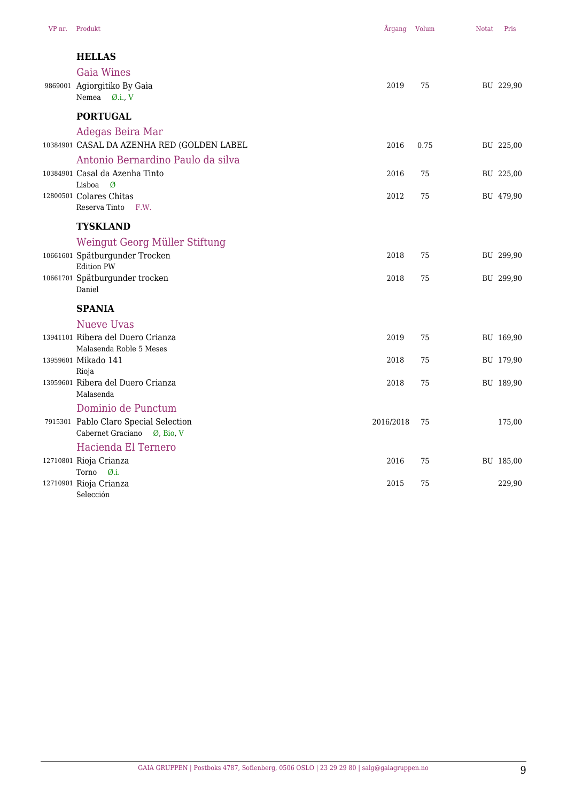| VP nr. Produkt                                                                                      | Årgang Volum |      | <b>Notat</b> | Pris      |
|-----------------------------------------------------------------------------------------------------|--------------|------|--------------|-----------|
| <b>HELLAS</b><br><b>Gaia Wines</b><br>9869001 Agiorgitiko By Gaìa                                   | 2019         | 75   |              | BU 229,90 |
| Nemea Ø.i., V<br><b>PORTUGAL</b>                                                                    |              |      |              |           |
| Adegas Beira Mar<br>10384901 CASAL DA AZENHA RED (GOLDEN LABEL<br>Antonio Bernardino Paulo da silva | 2016         | 0.75 |              | BU 225,00 |
| 10384901 Casal da Azenha Tinto                                                                      | 2016         | 75   |              | BU 225,00 |
| Lisboa<br>Ø<br>12800501 Colares Chitas<br>Reserva Tinto<br>F.W.                                     | 2012         | 75   |              | BU 479,90 |
| <b>TYSKLAND</b>                                                                                     |              |      |              |           |
| Weingut Georg Müller Stiftung<br>10661601 Spätburgunder Trocken<br><b>Edition PW</b>                | 2018         | 75   |              | BU 299,90 |
| 10661701 Spätburgunder trocken<br>Daniel                                                            | 2018         | 75   |              | BU 299,90 |
| <b>SPANIA</b>                                                                                       |              |      |              |           |
| <b>Nueve Uvas</b><br>13941101 Ribera del Duero Crianza<br>Malasenda Roble 5 Meses                   | 2019         | 75   |              | BU 169,90 |
| 13959601 Mikado 141                                                                                 | 2018         | 75   |              | BU 179,90 |
| Rioja<br>13959601 Ribera del Duero Crianza<br>Malasenda                                             | 2018         | 75   |              | BU 189,90 |
| Dominio de Punctum<br>7915301 Pablo Claro Special Selection<br>Cabernet Graciano Ø, Bio, V          | 2016/2018    | 75   |              | 175,00    |
| Hacienda El Ternero                                                                                 |              |      |              |           |
| 12710801 Rioja Crianza<br>Torno<br>$\emptyset$ .i.                                                  | 2016         | 75   |              | BU 185,00 |
| 12710901 Rioja Crianza<br>Selección                                                                 | 2015         | 75   |              | 229,90    |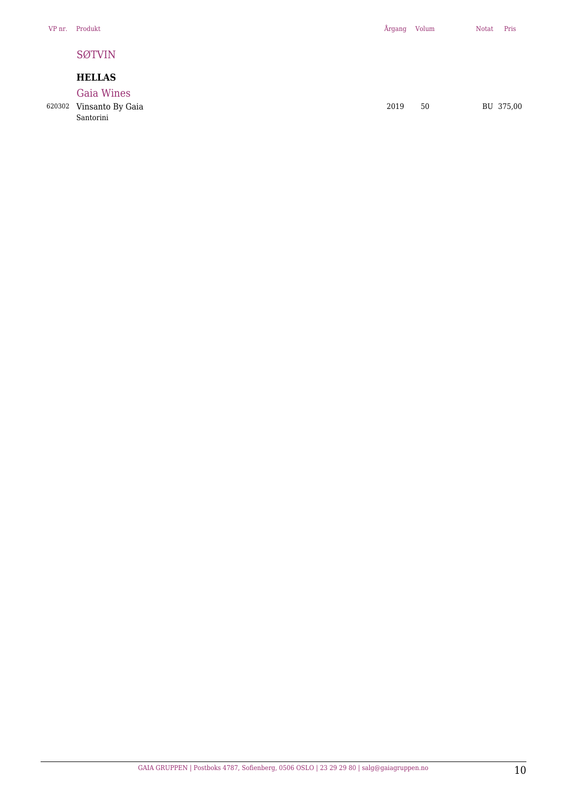#### SØTVIN

### **HELLAS**

Gaia Wines

Santorini

620302 Vinsanto By Gaia 2019 50 BU 375,00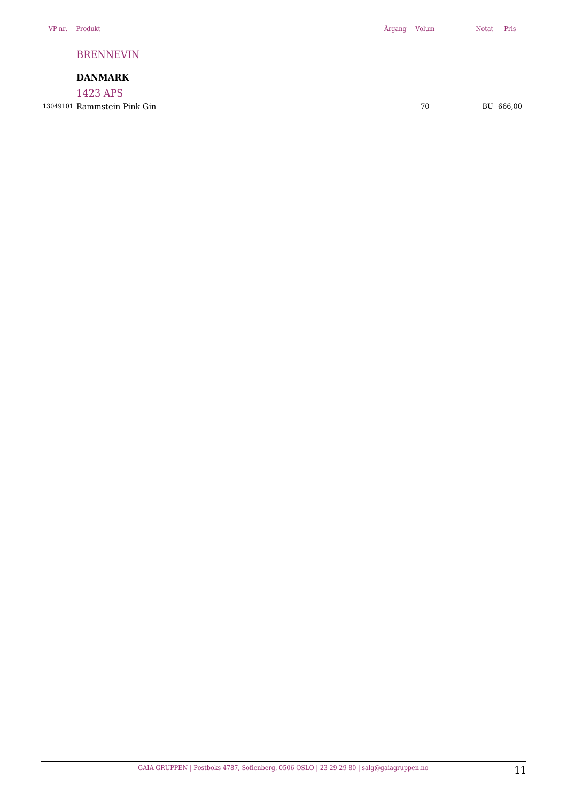#### BRENNEVIN

# **DANMARK**

1423 APS 13049101 Rammstein Pink Gin **13049101 Rammstein Pink Gin 666,00**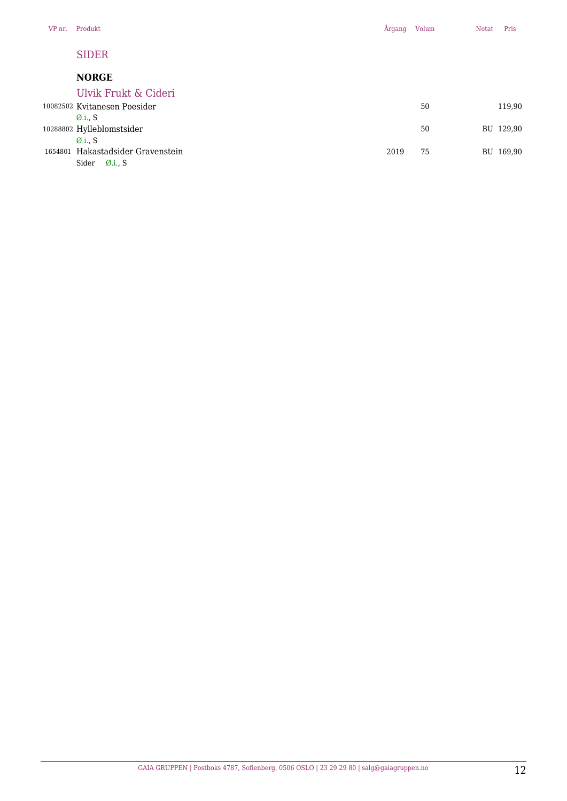Sider Ø.i., S